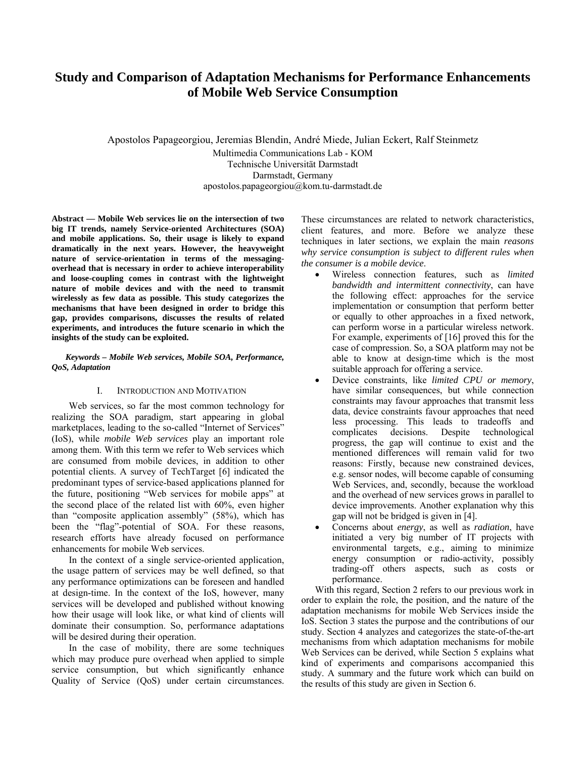# **Study and Comparison of Adaptation Mechanisms for Performance Enhancements of Mobile Web Service Consumption**

Apostolos Papageorgiou, Jeremias Blendin, André Miede, Julian Eckert, Ralf Steinmetz Multimedia Communications Lab - KOM Technische Universität Darmstadt Darmstadt, Germany apostolos.papageorgiou@kom.tu-darmstadt.de

**Abstract — Mobile Web services lie on the intersection of two big IT trends, namely Service-oriented Architectures (SOA) and mobile applications. So, their usage is likely to expand dramatically in the next years. However, the heavyweight nature of service-orientation in terms of the messagingoverhead that is necessary in order to achieve interoperability and loose-coupling comes in contrast with the lightweight nature of mobile devices and with the need to transmit wirelessly as few data as possible. This study categorizes the mechanisms that have been designed in order to bridge this gap, provides comparisons, discusses the results of related experiments, and introduces the future scenario in which the insights of the study can be exploited.** 

## *Keywords – Mobile Web services, Mobile SOA, Performance, QoS, Adaptation*

# I. INTRODUCTION AND MOTIVATION

Web services, so far the most common technology for realizing the SOA paradigm, start appearing in global marketplaces, leading to the so-called "Internet of Services" (IoS), while *mobile Web services* play an important role among them. With this term we refer to Web services which are consumed from mobile devices, in addition to other potential clients. A survey of TechTarget [6] indicated the predominant types of service-based applications planned for the future, positioning "Web services for mobile apps" at the second place of the related list with 60%, even higher than "composite application assembly" (58%), which has been the "flag"-potential of SOA. For these reasons, research efforts have already focused on performance enhancements for mobile Web services.

In the context of a single service-oriented application, the usage pattern of services may be well defined, so that any performance optimizations can be foreseen and handled at design-time. In the context of the IoS, however, many services will be developed and published without knowing how their usage will look like, or what kind of clients will dominate their consumption. So, performance adaptations will be desired during their operation.

In the case of mobility, there are some techniques which may produce pure overhead when applied to simple service consumption, but which significantly enhance Quality of Service (QoS) under certain circumstances. These circumstances are related to network characteristics, client features, and more. Before we analyze these techniques in later sections, we explain the main *reasons why service consumption is subject to different rules when the consumer is a mobile device*.

- Wireless connection features, such as *limited bandwidth and intermittent connectivity*, can have the following effect: approaches for the service implementation or consumption that perform better or equally to other approaches in a fixed network, can perform worse in a particular wireless network. For example, experiments of [16] proved this for the case of compression. So, a SOA platform may not be able to know at design-time which is the most suitable approach for offering a service.
- Device constraints, like *limited CPU or memory*, have similar consequences, but while connection constraints may favour approaches that transmit less data, device constraints favour approaches that need less processing. This leads to tradeoffs and complicates decisions. Despite technological progress, the gap will continue to exist and the mentioned differences will remain valid for two reasons: Firstly, because new constrained devices, e.g. sensor nodes, will become capable of consuming Web Services, and, secondly, because the workload and the overhead of new services grows in parallel to device improvements. Another explanation why this gap will not be bridged is given in [4].
- Concerns about *energy*, as well as *radiation*, have initiated a very big number of IT projects with environmental targets, e.g., aiming to minimize energy consumption or radio-activity, possibly trading-off others aspects, such as costs or performance.

With this regard, Section 2 refers to our previous work in order to explain the role, the position, and the nature of the adaptation mechanisms for mobile Web Services inside the IoS. Section 3 states the purpose and the contributions of our study. Section 4 analyzes and categorizes the state-of-the-art mechanisms from which adaptation mechanisms for mobile Web Services can be derived, while Section 5 explains what kind of experiments and comparisons accompanied this study. A summary and the future work which can build on the results of this study are given in Section 6.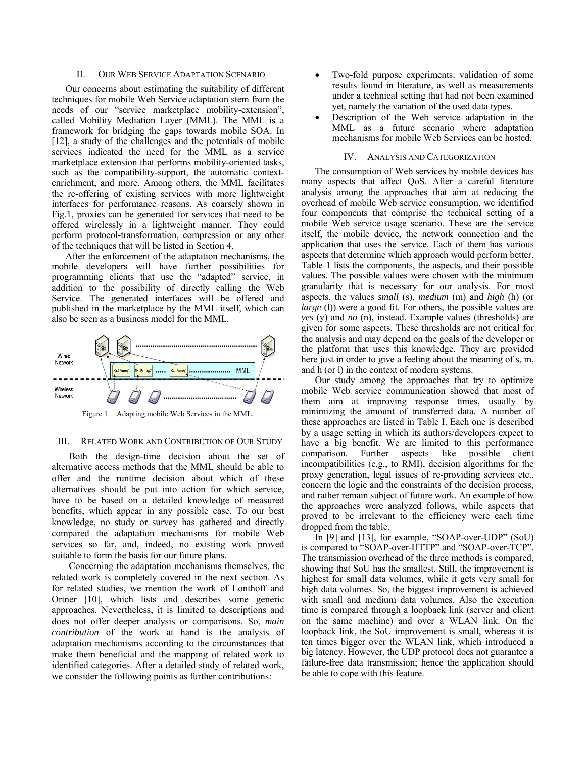## II. OUR WEB SERVICE ADAPTATION SCENARIO

Our concerns about estimating the suitability of different techniques for mobile Web Service adaptation stem from the needs of our "service marketplace mobility-extension", called Mobility Mediation Layer (MML). The MML is a framework for bridging the gaps towards mobile SOA. In [12], a study of the challenges and the potentials of mobile services indicated the need for the MML as a service marketplace extension that performs mobility-oriented tasks, such as the compatibility-support, the automatic contextenrichment, and more. Among others, the MML facilitates the re-offering of existing services with more lightweight interfaces for performance reasons. As coarsely shown in Fig.1, proxies can be generated for services that need to be offered wirelessly in a lightweight manner. They could perform protocol-transformation, compression or any other of the techniques that will be listed in Section 4.

After the enforcement of the adaptation mechanisms, the mobile developers will have further possibilities for programming clients that use the "adapted" service, in addition to the possibility of directly calling the Web Service. The generated interfaces will be offered and published in the marketplace by the MML itself, which can also be seen as a business model for the MML.



Figure 1. Adapting mobile Web Services in the MML.

#### III. RELATED WORK AND CONTRIBUTION OF OUR STUDY

Both the design-time decision about the set of alternative access methods that the MML should be able to offer and the runtime decision about which of these alternatives should be put into action for which service, have to be based on a detailed knowledge of measured benefits, which appear in any possible case. To our best knowledge, no study or survey has gathered and directly compared the adaptation mechanisms for mobile Web services so far, and, indeed, no existing work proved suitable to form the basis for our future plans.

Concerning the adaptation mechanisms themselves, the related work is completely covered in the next section. As for related studies, we mention the work of Lonthoff and Ortner [10], which lists and describes some generic approaches. Nevertheless, it is limited to descriptions and does not offer deeper analysis or comparisons. So, *main contribution* of the work at hand is the analysis of adaptation mechanisms according to the circumstances that make them beneficial and the mapping of related work to identified categories. After a detailed study of related work, we consider the following points as further contributions:

- Two-fold purpose experiments: validation of some results found in literature, as well as measurements under a technical setting that had not been examined yet, namely the variation of the used data types.
- Description of the Web service adaptation in the MML as a future scenario where adaptation mechanisms for mobile Web Services can be hosted.

## IV. ANALYSIS AND CATEGORIZATION

The consumption of Web services by mobile devices has many aspects that affect QoS. After a careful literature analysis among the approaches that aim at reducing the overhead of mobile Web service consumption, we identified four components that comprise the technical setting of a mobile Web service usage scenario. These are the service itself, the mobile device, the network connection and the application that uses the service. Each of them has various aspects that determine which approach would perform better. Table 1 lists the components, the aspects, and their possible values. The possible values were chosen with the minimum granularity that is necessary for our analysis. For most aspects, the values *small* (s), *medium* (m) and *high* (h) (or *large* (l)) were a good fit. For others, the possible values are *yes* (y) and *no* (n), instead. Example values (thresholds) are given for some aspects. These thresholds are not critical for the analysis and may depend on the goals of the developer or the platform that uses this knowledge. They are provided here just in order to give a feeling about the meaning of s, m, and h (or l) in the context of modern systems.

Our study among the approaches that try to optimize mobile Web service communication showed that most of them aim at improving response times, usually by minimizing the amount of transferred data. A number of these approaches are listed in Table I. Each one is described by a usage setting in which its authors/developers expect to have a big benefit. We are limited to this performance comparison. Further aspects like possible client incompatibilities (e.g., to RMI), decision algorithms for the proxy generation, legal issues of re-providing services etc., concern the logic and the constraints of the decision process, and rather remain subject of future work. An example of how the approaches were analyzed follows, while aspects that proved to be irrelevant to the efficiency were each time dropped from the table.

In [9] and [13], for example, "SOAP-over-UDP" (SoU) is compared to "SOAP-over-HTTP" and "SOAP-over-TCP". The transmission overhead of the three methods is compared, showing that SoU has the smallest. Still, the improvement is highest for small data volumes, while it gets very small for high data volumes. So, the biggest improvement is achieved with small and medium data volumes. Also the execution time is compared through a loopback link (server and client on the same machine) and over a WLAN link. On the loopback link, the SoU improvement is small, whereas it is ten times bigger over the WLAN link, which introduced a big latency. However, the UDP protocol does not guarantee a failure-free data transmission; hence the application should be able to cope with this feature.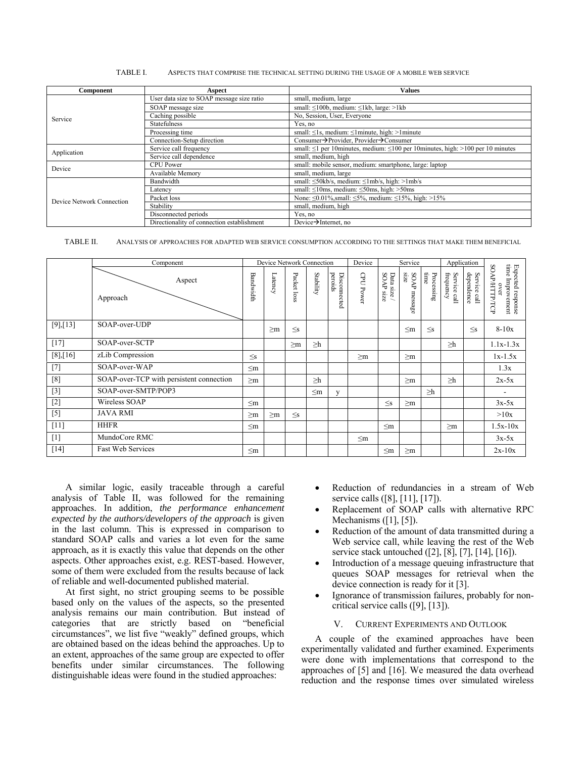| TABLE I.<br>ASPECTS THAT COMPRISE THE TECHNICAL SETTING DURING THE USAGE OF A MOBILE WEB SERVICE |  |
|--------------------------------------------------------------------------------------------------|--|
|--------------------------------------------------------------------------------------------------|--|

| Component                 | Aspect                                     | Values                                                                                          |  |  |  |  |  |  |  |
|---------------------------|--------------------------------------------|-------------------------------------------------------------------------------------------------|--|--|--|--|--|--|--|
|                           | User data size to SOAP message size ratio  | small, medium, large                                                                            |  |  |  |  |  |  |  |
|                           | SOAP message size                          | small: $\leq 100b$ , medium: $\leq 1kb$ , large: $>1kb$                                         |  |  |  |  |  |  |  |
| Service                   | Caching possible                           | No. Session, User, Everyone                                                                     |  |  |  |  |  |  |  |
|                           | <b>Statefulness</b>                        | Yes, no                                                                                         |  |  |  |  |  |  |  |
|                           | Processing time                            | small: $\leq$ 1s, medium: $\leq$ 1minute, high: >1minute                                        |  |  |  |  |  |  |  |
|                           | Connection-Setup direction                 | Consumer $\rightarrow$ Provider, Provider $\rightarrow$ Consumer                                |  |  |  |  |  |  |  |
| Application               | Service call frequency                     | small: $\leq$ 1 per 10 minutes, medium: $\leq$ 100 per 10 minutes, high: $>$ 100 per 10 minutes |  |  |  |  |  |  |  |
|                           | Service call dependence                    | small, medium, high                                                                             |  |  |  |  |  |  |  |
| Device                    | <b>CPU Power</b>                           | small: mobile sensor, medium: smartphone, large: laptop                                         |  |  |  |  |  |  |  |
|                           | Available Memory                           | small, medium, large                                                                            |  |  |  |  |  |  |  |
|                           | Bandwidth                                  | small: $\leq$ 50kb/s, medium: $\leq$ 1mb/s, high: $>1$ mb/s                                     |  |  |  |  |  |  |  |
|                           | Latency                                    | small: $\leq 10$ ms, medium: $\leq 50$ ms, high: $>50$ ms                                       |  |  |  |  |  |  |  |
| Device Network Connection | Packet loss                                | None: $\leq 0.01\%$ , small: $\leq 5\%$ , medium: $\leq 15\%$ , high: $>15\%$                   |  |  |  |  |  |  |  |
|                           | Stability                                  | small, medium, high                                                                             |  |  |  |  |  |  |  |
|                           | Disconnected periods                       | Yes, no                                                                                         |  |  |  |  |  |  |  |
|                           | Directionality of connection establishment | Device $\rightarrow$ Internet, no                                                               |  |  |  |  |  |  |  |

### TABLE II. ANALYSIS OF APPROACHES FOR ADAPTED WEB SERVICE CONSUMPTION ACCORDING TO THE SETTINGS THAT MAKE THEM BENEFICIAL

|                | Component                                | Device Network Connection |          |             |           | Device<br>Service       |           |                               |                                | Application        |                                   |                            |                                                                       |
|----------------|------------------------------------------|---------------------------|----------|-------------|-----------|-------------------------|-----------|-------------------------------|--------------------------------|--------------------|-----------------------------------|----------------------------|-----------------------------------------------------------------------|
|                | Aspect<br>Approach                       | Bandwidth                 | Latency  | Packet loss | Stability | peroids<br>Disconnected | CPU Power | Data size / SOAP size<br>SIZe | size<br><b>SOAP</b><br>message | time<br>Processing | ${\rm frequency}$<br>Service call | dependence<br>Service call | time Improvement<br>Expected response<br><b>SOAP/HTTP/TCP</b><br>over |
| $[9]$ , $[13]$ | SOAP-over-UDP                            |                           | $\geq m$ | $\leq s$    |           |                         |           |                               | $\leq m$                       | $\leq s$           |                                   | $\leq$ s                   | $8-10x$                                                               |
| $[17]$         | SOAP-over-SCTP                           |                           |          | $\geq m$    | $\geq h$  |                         |           |                               |                                |                    | $\geq h$                          |                            | $1.1x-1.3x$                                                           |
| $[8]$ , $[16]$ | zLib Compression                         | $\leq$ s                  |          |             |           |                         | $\geq m$  |                               | $\geq m$                       |                    |                                   |                            | $1x-1.5x$                                                             |
| $[7]$          | SOAP-over-WAP                            | $\leq m$                  |          |             |           |                         |           |                               |                                |                    |                                   |                            | 1.3x                                                                  |
| [8]            | SOAP-over-TCP with persistent connection | $\geq m$                  |          |             | $\geq h$  |                         |           |                               | $\geq m$                       |                    | $\geq h$                          |                            | $2x-5x$                                                               |
| $[3]$          | SOAP-over-SMTP/POP3                      |                           |          |             | $\leq m$  | V                       |           |                               |                                | $\geq h$           |                                   |                            |                                                                       |
| $[2]$          | Wireless SOAP                            | $\leq m$                  |          |             |           |                         |           | $\leq s$                      | $\geq m$                       |                    |                                   |                            | $3x-5x$                                                               |
| $[5]$          | <b>JAVA RMI</b>                          | $\geq m$                  | $\geq m$ | $\leq$ s    |           |                         |           |                               |                                |                    |                                   |                            | >10x                                                                  |
| $[11]$         | <b>HHFR</b>                              | $\leq m$                  |          |             |           |                         |           | $\leq m$                      |                                |                    | $\geq m$                          |                            | $1.5x-10x$                                                            |
| $[1]$          | MundoCore RMC                            |                           |          |             |           |                         | ≤m        |                               |                                |                    |                                   |                            | $3x-5x$                                                               |
| $[14]$         | <b>Fast Web Services</b>                 | ≤m                        |          |             |           |                         |           | ≤m                            | $\geq m$                       |                    |                                   |                            | $2x-10x$                                                              |

A similar logic, easily traceable through a careful analysis of Table II, was followed for the remaining approaches. In addition, *the performance enhancement expected by the authors/developers of the approach* is given in the last column. This is expressed in comparison to standard SOAP calls and varies a lot even for the same approach, as it is exactly this value that depends on the other aspects. Other approaches exist, e.g. REST-based. However, some of them were excluded from the results because of lack of reliable and well-documented published material.

At first sight, no strict grouping seems to be possible based only on the values of the aspects, so the presented analysis remains our main contribution. But instead of categories that are strictly based on "beneficial circumstances", we list five "weakly" defined groups, which are obtained based on the ideas behind the approaches. Up to an extent, approaches of the same group are expected to offer benefits under similar circumstances. The following distinguishable ideas were found in the studied approaches:

- Reduction of redundancies in a stream of Web service calls ([8], [11], [17]).
- Replacement of SOAP calls with alternative RPC Mechanisms  $([1], [5])$ .
- Reduction of the amount of data transmitted during a Web service call, while leaving the rest of the Web service stack untouched ([2], [8], [7], [14], [16]).
- Introduction of a message queuing infrastructure that queues SOAP messages for retrieval when the device connection is ready for it [3].
- Ignorance of transmission failures, probably for noncritical service calls ([9], [13]).

## V. CURRENT EXPERIMENTS AND OUTLOOK

A couple of the examined approaches have been experimentally validated and further examined. Experiments were done with implementations that correspond to the approaches of [5] and [16]. We measured the data overhead reduction and the response times over simulated wireless